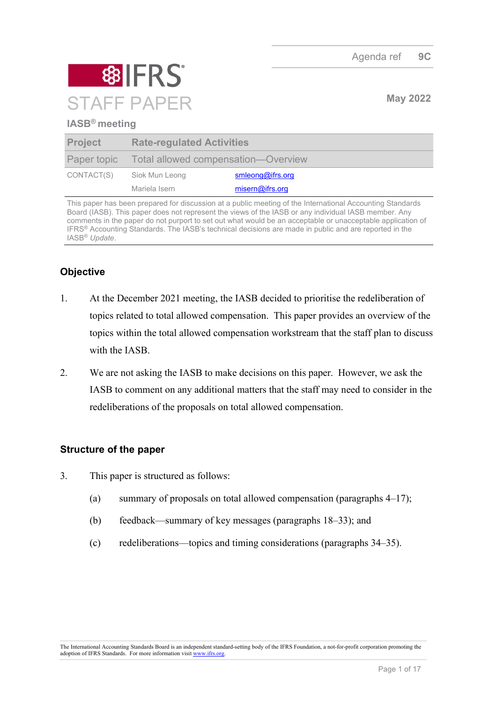

## **IASB® meeting**

| <b>Project</b> | <b>Rate-regulated Activities</b>                |                  |
|----------------|-------------------------------------------------|------------------|
|                | Paper topic Total allowed compensation—Overview |                  |
| CONTACT(S)     | Siok Mun Leong                                  | smleong@ifrs.org |
|                | Mariela Isern                                   | misern@ifrs.org  |

This paper has been prepared for discussion at a public meeting of the International Accounting Standards Board (IASB). This paper does not represent the views of the IASB or any individual IASB member. Any comments in the paper do not purport to set out what would be an acceptable or unacceptable application of IFRS® Accounting Standards. The IASB's technical decisions are made in public and are reported in the IASB® *Update*.

# **Objective**

- 1. At the December 2021 meeting, the IASB decided to prioritise the redeliberation of topics related to total allowed compensation. This paper provides an overview of the topics within the total allowed compensation workstream that the staff plan to discuss with the IASB.
- 2. We are not asking the IASB to make decisions on this paper. However, we ask the IASB to comment on any additional matters that the staff may need to consider in the redeliberations of the proposals on total allowed compensation.

## **Structure of the paper**

- 3. This paper is structured as follows:
	- (a) summary of proposals on total allowed compensation (paragraphs  $4-17$ );
	- (b) feedback—summary of key messages (paragraphs [18](#page-5-0)[–33\)](#page-8-0); and
	- (c) redeliberations—topics and timing considerations (paragraphs [34–](#page-9-0)[35\)](#page-16-0).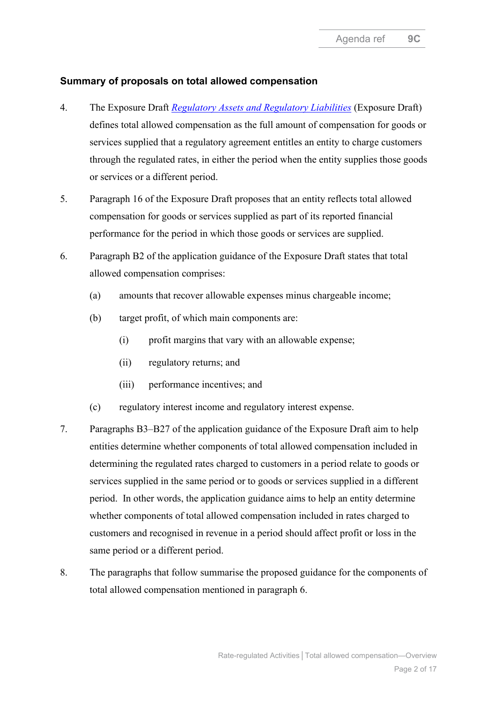## **Summary of proposals on total allowed compensation**

- <span id="page-1-0"></span>4. The Exposure Draft *[Regulatory Assets and Regulatory Liabilities](https://www.ifrs.org/content/dam/ifrs/project/rate-regulated-activities/published-documents/ed2021-rra.pdf)* (Exposure Draft) defines total allowed compensation as the full amount of compensation for goods or services supplied that a regulatory agreement entitles an entity to charge customers through the regulated rates, in either the period when the entity supplies those goods or services or a different period.
- <span id="page-1-2"></span>5. Paragraph 16 of the Exposure Draft proposes that an entity reflects total allowed compensation for goods or services supplied as part of its reported financial performance for the period in which those goods or services are supplied.
- <span id="page-1-1"></span>6. Paragraph B2 of the application guidance of the Exposure Draft states that total allowed compensation comprises:
	- (a) amounts that recover allowable expenses minus chargeable income;
	- (b) target profit, of which main components are:
		- (i) profit margins that vary with an allowable expense;
		- (ii) regulatory returns; and
		- (iii) performance incentives; and
	- (c) regulatory interest income and regulatory interest expense.
- 7. Paragraphs B3–B27 of the application guidance of the Exposure Draft aim to help entities determine whether components of total allowed compensation included in determining the regulated rates charged to customers in a period relate to goods or services supplied in the same period or to goods or services supplied in a different period. In other words, the application guidance aims to help an entity determine whether components of total allowed compensation included in rates charged to customers and recognised in revenue in a period should affect profit or loss in the same period or a different period.
- 8. The paragraphs that follow summarise the proposed guidance for the components of total allowed compensation mentioned in paragraph [6.](#page-1-1)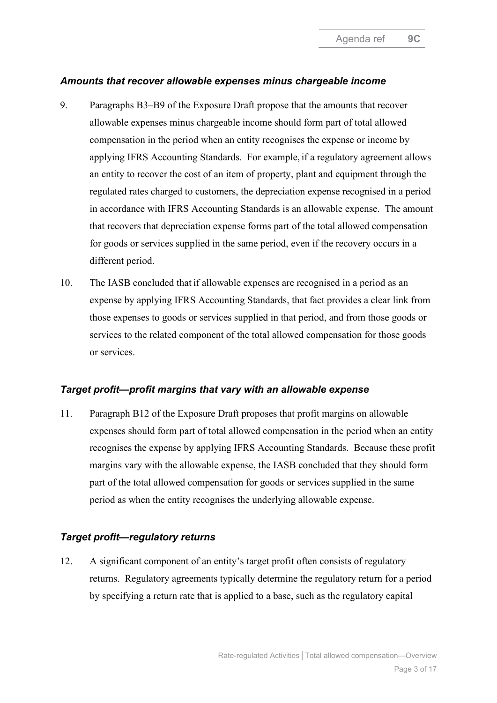## *Amounts that recover allowable expenses minus chargeable income*

- <span id="page-2-0"></span>9. Paragraphs B3–B9 of the Exposure Draft propose that the amounts that recover allowable expenses minus chargeable income should form part of total allowed compensation in the period when an entity recognises the expense or income by applying IFRS Accounting Standards. For example, if a regulatory agreement allows an entity to recover the cost of an item of property, plant and equipment through the regulated rates charged to customers, the depreciation expense recognised in a period in accordance with IFRS Accounting Standards is an allowable expense. The amount that recovers that depreciation expense forms part of the total allowed compensation for goods or services supplied in the same period, even if the recovery occurs in a different period.
- 10. The IASB concluded that if allowable expenses are recognised in a period as an expense by applying IFRS Accounting Standards, that fact provides a clear link from those expenses to goods or services supplied in that period, and from those goods or services to the related component of the total allowed compensation for those goods or services.

## *Target profit—profit margins that vary with an allowable expense*

11. Paragraph B12 of the Exposure Draft proposes that profit margins on allowable expenses should form part of total allowed compensation in the period when an entity recognises the expense by applying IFRS Accounting Standards. Because these profit margins vary with the allowable expense, the IASB concluded that they should form part of the total allowed compensation for goods or services supplied in the same period as when the entity recognises the underlying allowable expense.

## *Target profit—regulatory returns*

12. A significant component of an entity's target profit often consists of regulatory returns. Regulatory agreements typically determine the regulatory return for a period by specifying a return rate that is applied to a base, such as the regulatory capital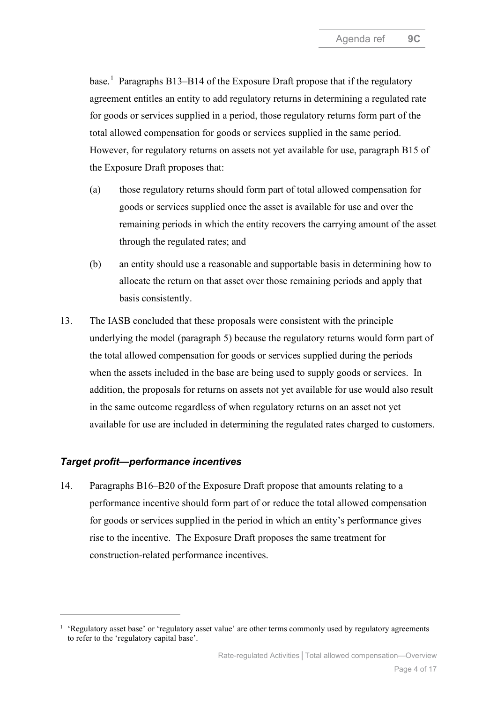base.<sup>[1](#page-3-0)</sup> Paragraphs B13–B14 of the Exposure Draft propose that if the regulatory agreement entitles an entity to add regulatory returns in determining a regulated rate for goods or services supplied in a period, those regulatory returns form part of the total allowed compensation for goods or services supplied in the same period. However, for regulatory returns on assets not yet available for use, paragraph B15 of the Exposure Draft proposes that:

- (a) those regulatory returns should form part of total allowed compensation for goods or services supplied once the asset is available for use and over the remaining periods in which the entity recovers the carrying amount of the asset through the regulated rates; and
- (b) an entity should use a reasonable and supportable basis in determining how to allocate the return on that asset over those remaining periods and apply that basis consistently.
- 13. The IASB concluded that these proposals were consistent with the principle underlying the model (paragraph [5\)](#page-1-2) because the regulatory returns would form part of the total allowed compensation for goods or services supplied during the periods when the assets included in the base are being used to supply goods or services. In addition, the proposals for returns on assets not yet available for use would also result in the same outcome regardless of when regulatory returns on an asset not yet available for use are included in determining the regulated rates charged to customers.

## *Target profit—performance incentives*

14. Paragraphs B16–B20 of the Exposure Draft propose that amounts relating to a performance incentive should form part of or reduce the total allowed compensation for goods or services supplied in the period in which an entity's performance gives rise to the incentive. The Exposure Draft proposes the same treatment for construction-related performance incentives.

<span id="page-3-0"></span><sup>&</sup>lt;sup>1</sup> 'Regulatory asset base' or 'regulatory asset value' are other terms commonly used by regulatory agreements to refer to the 'regulatory capital base'.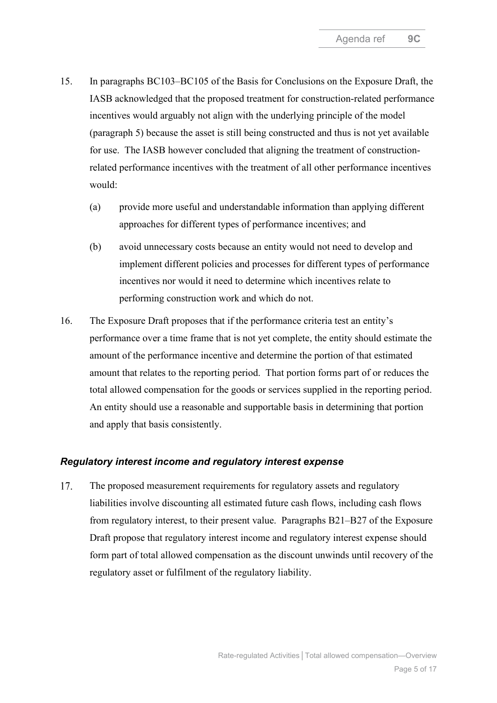- 15. In paragraphs BC103–BC105 of the Basis for Conclusions on the Exposure Draft, the IASB acknowledged that the proposed treatment for construction-related performance incentives would arguably not align with the underlying principle of the model (paragraph [5\)](#page-1-2) because the asset is still being constructed and thus is not yet available for use. The IASB however concluded that aligning the treatment of constructionrelated performance incentives with the treatment of all other performance incentives would:
	- (a) provide more useful and understandable information than applying different approaches for different types of performance incentives; and
	- (b) avoid unnecessary costs because an entity would not need to develop and implement different policies and processes for different types of performance incentives nor would it need to determine which incentives relate to performing construction work and which do not.
- 16. The Exposure Draft proposes that if the performance criteria test an entity's performance over a time frame that is not yet complete, the entity should estimate the amount of the performance incentive and determine the portion of that estimated amount that relates to the reporting period. That portion forms part of or reduces the total allowed compensation for the goods or services supplied in the reporting period. An entity should use a reasonable and supportable basis in determining that portion and apply that basis consistently.

#### *Regulatory interest income and regulatory interest expense*

<span id="page-4-0"></span>17. The proposed measurement requirements for regulatory assets and regulatory liabilities involve discounting all estimated future cash flows, including cash flows from regulatory interest, to their present value. Paragraphs B21–B27 of the Exposure Draft propose that regulatory interest income and regulatory interest expense should form part of total allowed compensation as the discount unwinds until recovery of the regulatory asset or fulfilment of the regulatory liability.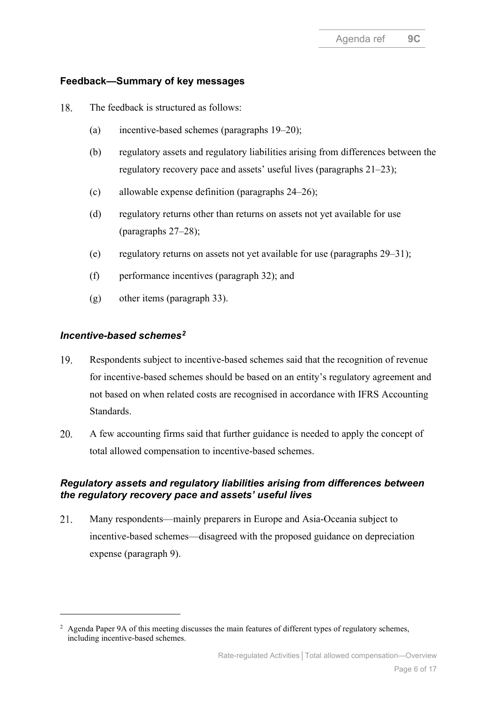## **Feedback—Summary of key messages**

- <span id="page-5-5"></span><span id="page-5-0"></span>18. The feedback is structured as follows:
	- (a) incentive-based schemes (paragraphs [19–](#page-5-1)[20\)](#page-5-2);
	- (b) regulatory assets and regulatory liabilities arising from differences between the regulatory recovery pace and assets' useful lives (paragraphs [21](#page-5-3)[–23\)](#page-6-0);
	- (c) allowable expense definition (paragraphs [24–](#page-6-1)[26\)](#page-7-0);
	- (d) regulatory returns other than returns on assets not yet available for use (paragraphs [27–](#page-7-1)[28\)](#page-7-2);
	- (e) regulatory returns on assets not yet available for use (paragraphs [29–](#page-7-3)[31\)](#page-8-1);
	- (f) performance incentives (paragraph [32\)](#page-8-2); and
	- (g) other items (paragraph [33\)](#page-8-0).

#### <span id="page-5-7"></span><span id="page-5-6"></span>*Incentive-based schemes[2](#page-5-4)*

- <span id="page-5-1"></span>19. Respondents subject to incentive-based schemes said that the recognition of revenue for incentive-based schemes should be based on an entity's regulatory agreement and not based on when related costs are recognised in accordance with IFRS Accounting Standards.
- <span id="page-5-2"></span>20. A few accounting firms said that further guidance is needed to apply the concept of total allowed compensation to incentive-based schemes.

## *Regulatory assets and regulatory liabilities arising from differences between the regulatory recovery pace and assets' useful lives*

<span id="page-5-3"></span>21. Many respondents—mainly preparers in Europe and Asia-Oceania subject to incentive-based schemes—disagreed with the proposed guidance on depreciation expense (paragraph [9\)](#page-2-0).

<span id="page-5-4"></span><sup>&</sup>lt;sup>2</sup> Agenda Paper 9A of this meeting discusses the main features of different types of regulatory schemes, including incentive-based schemes.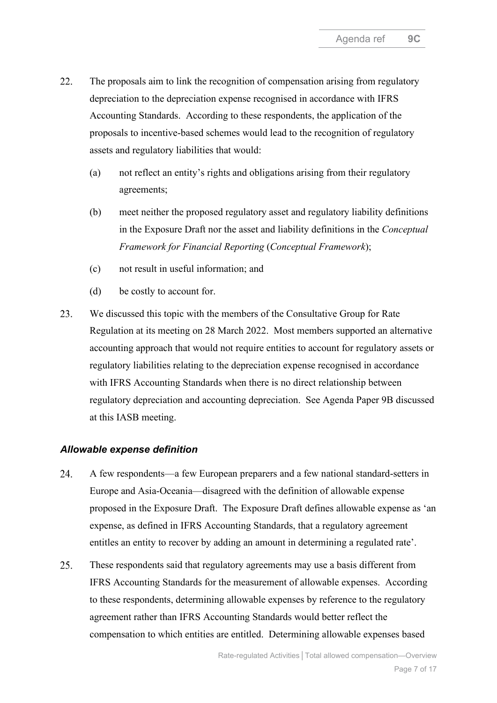- <span id="page-6-2"></span>22. The proposals aim to link the recognition of compensation arising from regulatory depreciation to the depreciation expense recognised in accordance with IFRS Accounting Standards. According to these respondents, the application of the proposals to incentive-based schemes would lead to the recognition of regulatory assets and regulatory liabilities that would:
	- (a) not reflect an entity's rights and obligations arising from their regulatory agreements;
	- (b) meet neither the proposed regulatory asset and regulatory liability definitions in the Exposure Draft nor the asset and liability definitions in the *Conceptual Framework for Financial Reporting* (*Conceptual Framework*);
	- (c) not result in useful information; and
	- (d) be costly to account for.
- <span id="page-6-4"></span><span id="page-6-3"></span><span id="page-6-0"></span>23. We discussed this topic with the members of the Consultative Group for Rate Regulation at its meeting on 28 March 2022. Most members supported an alternative accounting approach that would not require entities to account for regulatory assets or regulatory liabilities relating to the depreciation expense recognised in accordance with IFRS Accounting Standards when there is no direct relationship between regulatory depreciation and accounting depreciation. See Agenda Paper 9B discussed at this IASB meeting.

#### *Allowable expense definition*

- <span id="page-6-1"></span>24. A few respondents—a few European preparers and a few national standard-setters in Europe and Asia-Oceania—disagreed with the definition of allowable expense proposed in the Exposure Draft. The Exposure Draft defines allowable expense as 'an expense, as defined in IFRS Accounting Standards, that a regulatory agreement entitles an entity to recover by adding an amount in determining a regulated rate'.
- 25. These respondents said that regulatory agreements may use a basis different from IFRS Accounting Standards for the measurement of allowable expenses. According to these respondents, determining allowable expenses by reference to the regulatory agreement rather than IFRS Accounting Standards would better reflect the compensation to which entities are entitled. Determining allowable expenses based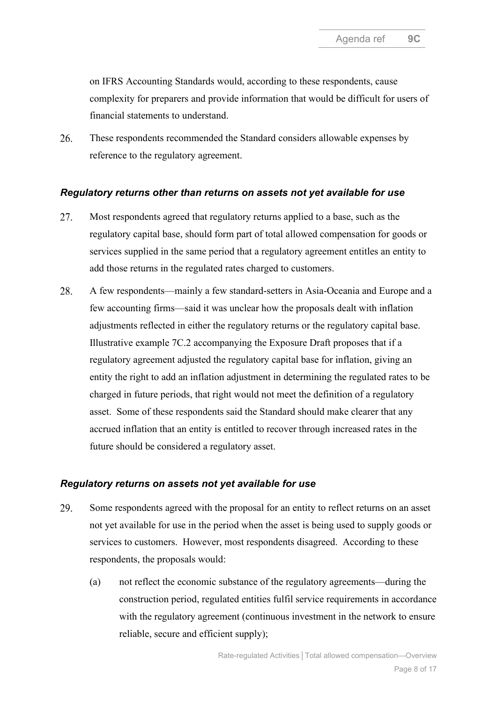<span id="page-7-6"></span><span id="page-7-5"></span><span id="page-7-4"></span>on IFRS Accounting Standards would, according to these respondents, cause complexity for preparers and provide information that would be difficult for users of financial statements to understand.

<span id="page-7-0"></span>26. These respondents recommended the Standard considers allowable expenses by reference to the regulatory agreement.

#### *Regulatory returns other than returns on assets not yet available for use*

- <span id="page-7-1"></span>Most respondents agreed that regulatory returns applied to a base, such as the 27. regulatory capital base, should form part of total allowed compensation for goods or services supplied in the same period that a regulatory agreement entitles an entity to add those returns in the regulated rates charged to customers.
- <span id="page-7-7"></span><span id="page-7-2"></span>28. A few respondents—mainly a few standard-setters in Asia-Oceania and Europe and a few accounting firms—said it was unclear how the proposals dealt with inflation adjustments reflected in either the regulatory returns or the regulatory capital base. Illustrative example 7C.2 accompanying the Exposure Draft proposes that if a regulatory agreement adjusted the regulatory capital base for inflation, giving an entity the right to add an inflation adjustment in determining the regulated rates to be charged in future periods, that right would not meet the definition of a regulatory asset. Some of these respondents said the Standard should make clearer that any accrued inflation that an entity is entitled to recover through increased rates in the future should be considered a regulatory asset.

#### *Regulatory returns on assets not yet available for use*

- <span id="page-7-3"></span>29. Some respondents agreed with the proposal for an entity to reflect returns on an asset not yet available for use in the period when the asset is being used to supply goods or services to customers. However, most respondents disagreed. According to these respondents, the proposals would:
	- (a) not reflect the economic substance of the regulatory agreements—during the construction period, regulated entities fulfil service requirements in accordance with the regulatory agreement (continuous investment in the network to ensure reliable, secure and efficient supply);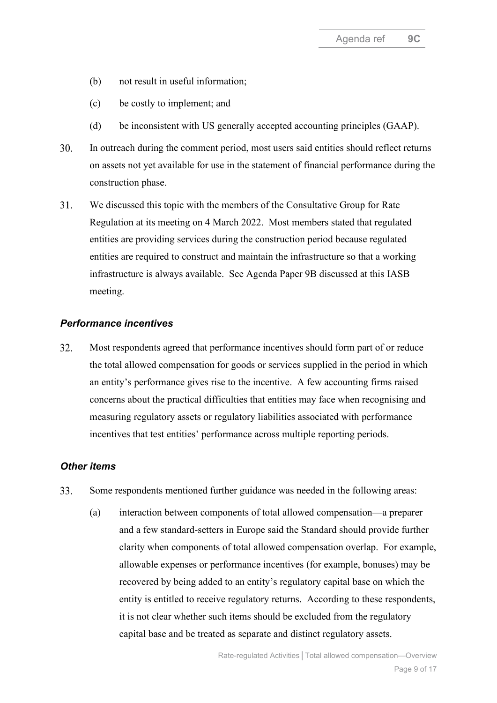- <span id="page-8-3"></span>(b) not result in useful information;
- (c) be costly to implement; and
- (d) be inconsistent with US generally accepted accounting principles (GAAP).
- <span id="page-8-4"></span>30. In outreach during the comment period, most users said entities should reflect returns on assets not yet available for use in the statement of financial performance during the construction phase.
- <span id="page-8-1"></span>31. We discussed this topic with the members of the Consultative Group for Rate Regulation at its meeting on 4 March 2022. Most members stated that regulated entities are providing services during the construction period because regulated entities are required to construct and maintain the infrastructure so that a working infrastructure is always available. See Agenda Paper 9B discussed at this IASB meeting.

#### <span id="page-8-6"></span><span id="page-8-5"></span>*Performance incentives*

<span id="page-8-2"></span>32. Most respondents agreed that performance incentives should form part of or reduce the total allowed compensation for goods or services supplied in the period in which an entity's performance gives rise to the incentive. A few accounting firms raised concerns about the practical difficulties that entities may face when recognising and measuring regulatory assets or regulatory liabilities associated with performance incentives that test entities' performance across multiple reporting periods.

#### *Other items*

- <span id="page-8-0"></span>33. Some respondents mentioned further guidance was needed in the following areas:
	- (a) interaction between components of total allowed compensation—a preparer and a few standard-setters in Europe said the Standard should provide further clarity when components of total allowed compensation overlap. For example, allowable expenses or performance incentives (for example, bonuses) may be recovered by being added to an entity's regulatory capital base on which the entity is entitled to receive regulatory returns. According to these respondents, it is not clear whether such items should be excluded from the regulatory capital base and be treated as separate and distinct regulatory assets.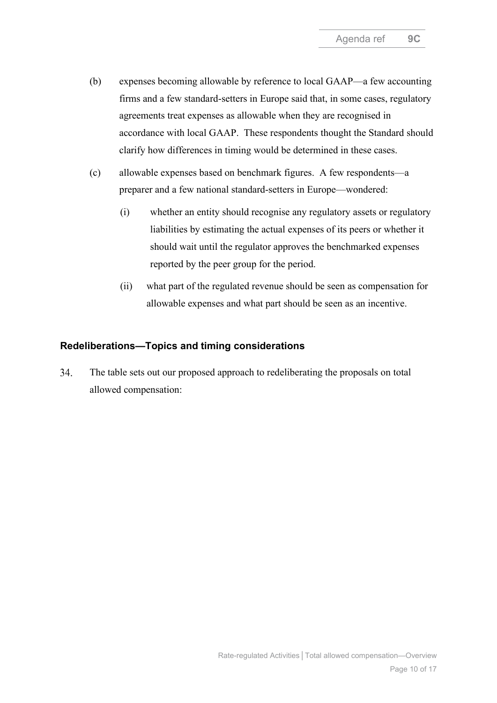- <span id="page-9-2"></span><span id="page-9-1"></span>(b) expenses becoming allowable by reference to local GAAP—a few accounting firms and a few standard-setters in Europe said that, in some cases, regulatory agreements treat expenses as allowable when they are recognised in accordance with local GAAP. These respondents thought the Standard should clarify how differences in timing would be determined in these cases.
- (c) allowable expenses based on benchmark figures. A few respondents—a preparer and a few national standard-setters in Europe—wondered:
	- (i) whether an entity should recognise any regulatory assets or regulatory liabilities by estimating the actual expenses of its peers or whether it should wait until the regulator approves the benchmarked expenses reported by the peer group for the period.
	- (ii) what part of the regulated revenue should be seen as compensation for allowable expenses and what part should be seen as an incentive.

#### **Redeliberations—Topics and timing considerations**

<span id="page-9-0"></span>34. The table sets out our proposed approach to redeliberating the proposals on total allowed compensation: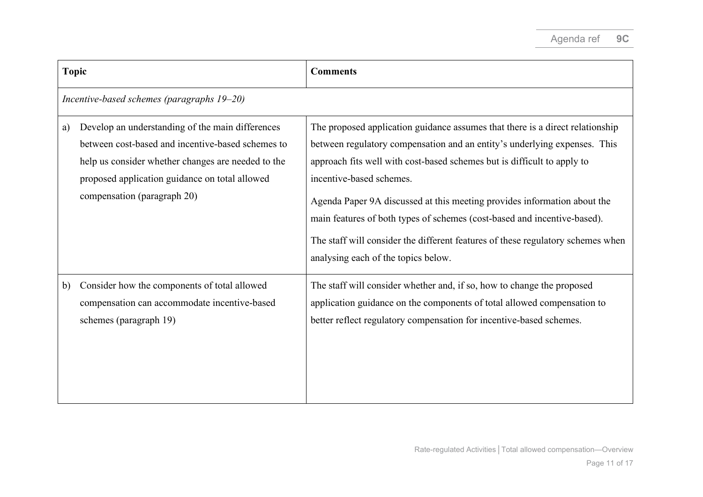| <b>Topic</b> |                                                                                                                                                                                                                                              | <b>Comments</b>                                                                                                                                                                                                                                                                                                                                                                                                                                                                                                                                     |  |
|--------------|----------------------------------------------------------------------------------------------------------------------------------------------------------------------------------------------------------------------------------------------|-----------------------------------------------------------------------------------------------------------------------------------------------------------------------------------------------------------------------------------------------------------------------------------------------------------------------------------------------------------------------------------------------------------------------------------------------------------------------------------------------------------------------------------------------------|--|
|              | Incentive-based schemes (paragraphs 19-20)                                                                                                                                                                                                   |                                                                                                                                                                                                                                                                                                                                                                                                                                                                                                                                                     |  |
| a)           | Develop an understanding of the main differences<br>between cost-based and incentive-based schemes to<br>help us consider whether changes are needed to the<br>proposed application guidance on total allowed<br>compensation (paragraph 20) | The proposed application guidance assumes that there is a direct relationship<br>between regulatory compensation and an entity's underlying expenses. This<br>approach fits well with cost-based schemes but is difficult to apply to<br>incentive-based schemes.<br>Agenda Paper 9A discussed at this meeting provides information about the<br>main features of both types of schemes (cost-based and incentive-based).<br>The staff will consider the different features of these regulatory schemes when<br>analysing each of the topics below. |  |
| b)           | Consider how the components of total allowed<br>compensation can accommodate incentive-based<br>schemes (paragraph 19)                                                                                                                       | The staff will consider whether and, if so, how to change the proposed<br>application guidance on the components of total allowed compensation to<br>better reflect regulatory compensation for incentive-based schemes.                                                                                                                                                                                                                                                                                                                            |  |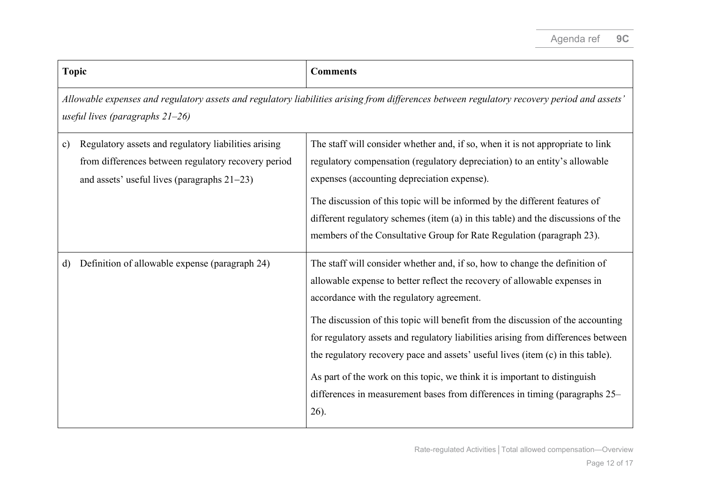| <b>Topic</b>                                                                                                                                                                      |                                                                                                                                                               | <b>Comments</b>                                                                                                                                                                                                                                                                                                                                                                                                                                                                                                                                                                                                                          |
|-----------------------------------------------------------------------------------------------------------------------------------------------------------------------------------|---------------------------------------------------------------------------------------------------------------------------------------------------------------|------------------------------------------------------------------------------------------------------------------------------------------------------------------------------------------------------------------------------------------------------------------------------------------------------------------------------------------------------------------------------------------------------------------------------------------------------------------------------------------------------------------------------------------------------------------------------------------------------------------------------------------|
| Allowable expenses and regulatory assets and regulatory liabilities arising from differences between regulatory recovery period and assets'<br>useful lives (paragraphs $21-26$ ) |                                                                                                                                                               |                                                                                                                                                                                                                                                                                                                                                                                                                                                                                                                                                                                                                                          |
| $\mathbf{c})$                                                                                                                                                                     | Regulatory assets and regulatory liabilities arising<br>from differences between regulatory recovery period<br>and assets' useful lives (paragraphs $21-23$ ) | The staff will consider whether and, if so, when it is not appropriate to link<br>regulatory compensation (regulatory depreciation) to an entity's allowable<br>expenses (accounting depreciation expense).<br>The discussion of this topic will be informed by the different features of<br>different regulatory schemes (item (a) in this table) and the discussions of the<br>members of the Consultative Group for Rate Regulation (paragraph 23).                                                                                                                                                                                   |
| d)                                                                                                                                                                                | Definition of allowable expense (paragraph 24)                                                                                                                | The staff will consider whether and, if so, how to change the definition of<br>allowable expense to better reflect the recovery of allowable expenses in<br>accordance with the regulatory agreement.<br>The discussion of this topic will benefit from the discussion of the accounting<br>for regulatory assets and regulatory liabilities arising from differences between<br>the regulatory recovery pace and assets' useful lives (item (c) in this table).<br>As part of the work on this topic, we think it is important to distinguish<br>differences in measurement bases from differences in timing (paragraphs 25–<br>$26$ ). |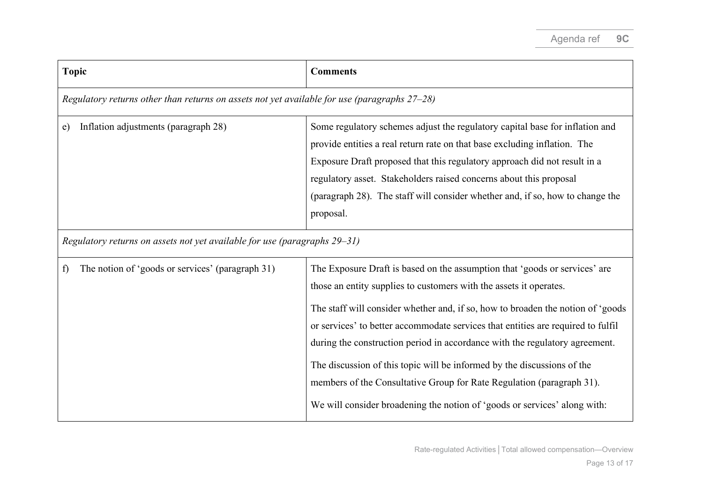| <b>Topic</b>                                                                                 | <b>Comments</b>                                                                                                                                                                                                                                                                                                                                                                                                                                                                                                                                                                                                                         |
|----------------------------------------------------------------------------------------------|-----------------------------------------------------------------------------------------------------------------------------------------------------------------------------------------------------------------------------------------------------------------------------------------------------------------------------------------------------------------------------------------------------------------------------------------------------------------------------------------------------------------------------------------------------------------------------------------------------------------------------------------|
| Regulatory returns other than returns on assets not yet available for use (paragraphs 27-28) |                                                                                                                                                                                                                                                                                                                                                                                                                                                                                                                                                                                                                                         |
| Inflation adjustments (paragraph 28)<br>e)                                                   | Some regulatory schemes adjust the regulatory capital base for inflation and<br>provide entities a real return rate on that base excluding inflation. The<br>Exposure Draft proposed that this regulatory approach did not result in a<br>regulatory asset. Stakeholders raised concerns about this proposal<br>(paragraph 28). The staff will consider whether and, if so, how to change the<br>proposal.                                                                                                                                                                                                                              |
| Regulatory returns on assets not yet available for use (paragraphs 29-31)                    |                                                                                                                                                                                                                                                                                                                                                                                                                                                                                                                                                                                                                                         |
| The notion of 'goods or services' (paragraph 31)<br>f                                        | The Exposure Draft is based on the assumption that 'goods or services' are<br>those an entity supplies to customers with the assets it operates.<br>The staff will consider whether and, if so, how to broaden the notion of 'goods<br>or services' to better accommodate services that entities are required to fulfil<br>during the construction period in accordance with the regulatory agreement.<br>The discussion of this topic will be informed by the discussions of the<br>members of the Consultative Group for Rate Regulation (paragraph 31).<br>We will consider broadening the notion of 'goods or services' along with: |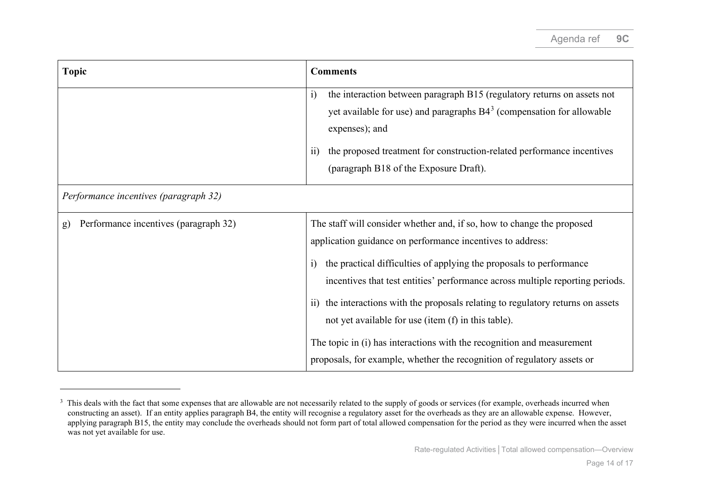<span id="page-13-0"></span>

| <b>Topic</b>                                          | <b>Comments</b>                                                                                                                                                                                                                                                                                                                                                                                                                                                          |
|-------------------------------------------------------|--------------------------------------------------------------------------------------------------------------------------------------------------------------------------------------------------------------------------------------------------------------------------------------------------------------------------------------------------------------------------------------------------------------------------------------------------------------------------|
|                                                       | the interaction between paragraph B15 (regulatory returns on assets not<br>$\ddot{1}$<br>yet available for use) and paragraphs $B43$ (compensation for allowable<br>expenses); and<br>the proposed treatment for construction-related performance incentives<br>$\overline{11})$<br>(paragraph B18 of the Exposure Draft).                                                                                                                                               |
|                                                       |                                                                                                                                                                                                                                                                                                                                                                                                                                                                          |
| Performance incentives (paragraph 32)                 |                                                                                                                                                                                                                                                                                                                                                                                                                                                                          |
| Performance incentives (paragraph 32)<br>$\mathbf{g}$ | The staff will consider whether and, if so, how to change the proposed<br>application guidance on performance incentives to address:<br>the practical difficulties of applying the proposals to performance<br>$\overline{1}$<br>incentives that test entities' performance across multiple reporting periods.<br>the interactions with the proposals relating to regulatory returns on assets<br>$\overline{11}$<br>not yet available for use (item (f) in this table). |
|                                                       | The topic in (i) has interactions with the recognition and measurement<br>proposals, for example, whether the recognition of regulatory assets or                                                                                                                                                                                                                                                                                                                        |

<sup>&</sup>lt;sup>3</sup> This deals with the fact that some expenses that are allowable are not necessarily related to the supply of goods or services (for example, overheads incurred when constructing an asset). If an entity applies paragraph B4, the entity will recognise a regulatory asset for the overheads as they are an allowable expense. However, applying paragraph B15, the entity may conclude the overheads should not form part of total allowed compensation for the period as they were incurred when the asset was not yet available for use.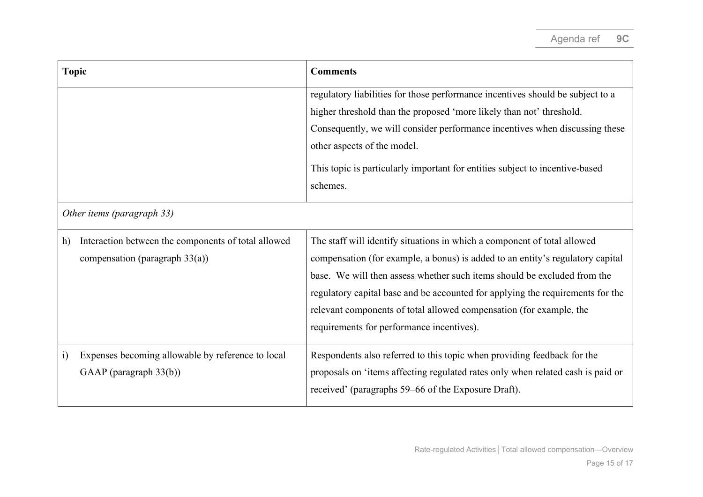| <b>Topic</b>                                                                                   | <b>Comments</b>                                                                                                                                                                                                                                                                                                                                                                                                                              |
|------------------------------------------------------------------------------------------------|----------------------------------------------------------------------------------------------------------------------------------------------------------------------------------------------------------------------------------------------------------------------------------------------------------------------------------------------------------------------------------------------------------------------------------------------|
|                                                                                                | regulatory liabilities for those performance incentives should be subject to a<br>higher threshold than the proposed 'more likely than not' threshold.<br>Consequently, we will consider performance incentives when discussing these<br>other aspects of the model.<br>This topic is particularly important for entities subject to incentive-based<br>schemes.                                                                             |
| Other items (paragraph 33)                                                                     |                                                                                                                                                                                                                                                                                                                                                                                                                                              |
| Interaction between the components of total allowed<br>h)<br>compensation (paragraph $33(a)$ ) | The staff will identify situations in which a component of total allowed<br>compensation (for example, a bonus) is added to an entity's regulatory capital<br>base. We will then assess whether such items should be excluded from the<br>regulatory capital base and be accounted for applying the requirements for the<br>relevant components of total allowed compensation (for example, the<br>requirements for performance incentives). |
| Expenses becoming allowable by reference to local<br>$\ddot{1}$<br>GAAP (paragraph 33(b))      | Respondents also referred to this topic when providing feedback for the<br>proposals on 'items affecting regulated rates only when related cash is paid or<br>received' (paragraphs 59-66 of the Exposure Draft).                                                                                                                                                                                                                            |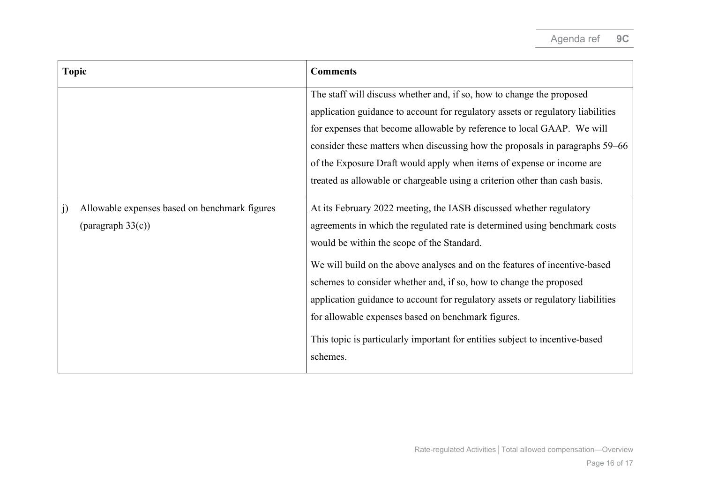| <b>Topic</b>                                                                | <b>Comments</b>                                                                                                                                                                                                                                                                                                                                                                                                                                                                                                                                                                          |
|-----------------------------------------------------------------------------|------------------------------------------------------------------------------------------------------------------------------------------------------------------------------------------------------------------------------------------------------------------------------------------------------------------------------------------------------------------------------------------------------------------------------------------------------------------------------------------------------------------------------------------------------------------------------------------|
|                                                                             | The staff will discuss whether and, if so, how to change the proposed<br>application guidance to account for regulatory assets or regulatory liabilities<br>for expenses that become allowable by reference to local GAAP. We will<br>consider these matters when discussing how the proposals in paragraphs 59–66<br>of the Exposure Draft would apply when items of expense or income are<br>treated as allowable or chargeable using a criterion other than cash basis.                                                                                                               |
| Allowable expenses based on benchmark figures<br>j)<br>(paragraph $33(c)$ ) | At its February 2022 meeting, the IASB discussed whether regulatory<br>agreements in which the regulated rate is determined using benchmark costs<br>would be within the scope of the Standard.<br>We will build on the above analyses and on the features of incentive-based<br>schemes to consider whether and, if so, how to change the proposed<br>application guidance to account for regulatory assets or regulatory liabilities<br>for allowable expenses based on benchmark figures.<br>This topic is particularly important for entities subject to incentive-based<br>schemes. |